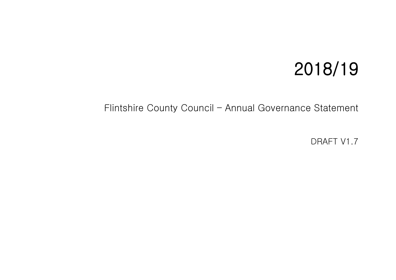# 2018/19

Flintshire County Council – Annual Governance Statement

DRAFT V1.7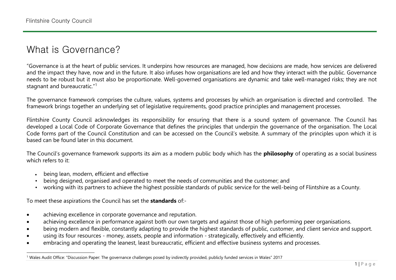# What is Governance?

"Governance is at the heart of public services. It underpins how resources are managed, how decisions are made, how services are delivered and the impact they have, now and in the future. It also infuses how organisations are led and how they interact with the public. Governance needs to be robust but it must also be proportionate. Well-governed organisations are dynamic and take well-managed risks; they are not stagnant and bureaucratic."<sup>1</sup>

The governance framework comprises the culture, values, systems and processes by which an organisation is directed and controlled. The framework brings together an underlying set of legislative requirements, good practice principles and management processes.

Flintshire County Council acknowledges its responsibility for ensuring that there is a sound system of governance. The Council has developed a Local Code of Corporate Governance that defines the principles that underpin the governance of the organisation. The Local Code forms part of the Council Constitution and can be accessed on the Council's website. A summary of the principles upon which it is based can be found later in this document.

The Council's governance framework supports its aim as a modern public body which has the **philosophy** of operating as a social business which refers to it:

- being lean, modern, efficient and effective
- being designed, organised and operated to meet the needs of communities and the customer; and
- working with its partners to achieve the highest possible standards of public service for the well-being of Flintshire as a County.

To meet these aspirations the Council has set the **standards** of:-

- achieving excellence in corporate governance and reputation.
- achieving excellence in performance against both our own targets and against those of high performing peer organisations.
- being modern and flexible, constantly adapting to provide the highest standards of public, customer, and client service and support.
- using its four resources money, assets, people and information strategically, effectively and efficiently.
- embracing and operating the leanest, least bureaucratic, efficient and effective business systems and processes.

 $\overline{a}$ <sup>1</sup> Wales Audit Office: "Discussion Paper: The governance challenges posed by indirectly provided, publicly funded services in Wales" 2017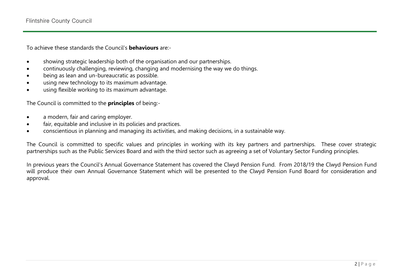To achieve these standards the Council's **behaviours** are:-

- showing strategic leadership both of the organisation and our partnerships.
- continuously challenging, reviewing, changing and modernising the way we do things.
- being as lean and un-bureaucratic as possible.
- using new technology to its maximum advantage.
- using flexible working to its maximum advantage.

The Council is committed to the **principles** of being:-

- a modern, fair and caring employer.
- fair, equitable and inclusive in its policies and practices.
- conscientious in planning and managing its activities, and making decisions, in a sustainable way.

The Council is committed to specific values and principles in working with its key partners and partnerships. These cover strategic partnerships such as the Public Services Board and with the third sector such as agreeing a set of Voluntary Sector Funding principles.

In previous years the Council's Annual Governance Statement has covered the Clwyd Pension Fund. From 2018/19 the Clwyd Pension Fund will produce their own Annual Governance Statement which will be presented to the Clwyd Pension Fund Board for consideration and approval.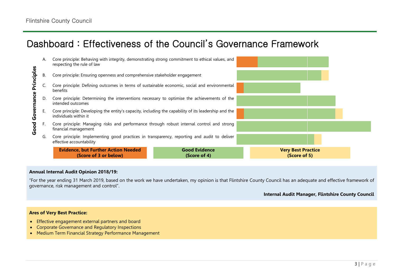# Dashboard : Effectiveness of the Council's Governance Framework



#### **Annual Internal Audit Opinion 2018/19:**

"For the year ending 31 March 2019, based on the work we have undertaken, my opinion is that Flintshire County Council has an adequate and effective framework of governance, risk management and control".

#### **Internal Audit Manager, Flintshire County Council**

#### **Ares of Very Best Practice:**

- **Effective engagement external partners and board**
- Corporate Governance and Regulatory Inspections
- Medium Term Financial Strategy Performance Management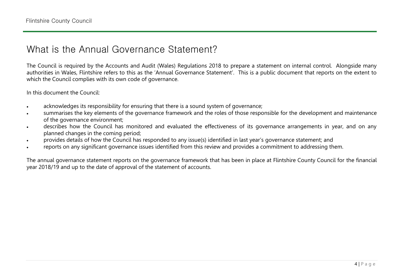## What is the Annual Governance Statement?

The Council is required by the Accounts and Audit (Wales) Regulations 2018 to prepare a statement on internal control. Alongside many authorities in Wales, Flintshire refers to this as the 'Annual Governance Statement'. This is a public document that reports on the extent to which the Council complies with its own code of governance.

In this document the Council:

- acknowledges its responsibility for ensuring that there is a sound system of governance;
- summarises the key elements of the governance framework and the roles of those responsible for the development and maintenance of the governance environment;
- describes how the Council has monitored and evaluated the effectiveness of its governance arrangements in year, and on any planned changes in the coming period;
- provides details of how the Council has responded to any issue(s) identified in last year's governance statement; and
- reports on any significant governance issues identified from this review and provides a commitment to addressing them.

The annual governance statement reports on the governance framework that has been in place at Flintshire County Council for the financial year 2018/19 and up to the date of approval of the statement of accounts.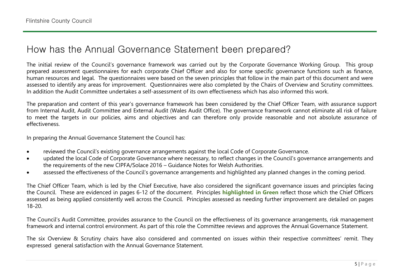### How has the Annual Governance Statement been prepared?

The initial review of the Council's governance framework was carried out by the Corporate Governance Working Group. This group prepared assessment questionnaires for each corporate Chief Officer and also for some specific governance functions such as finance, human resources and legal. The questionnaires were based on the seven principles that follow in the main part of this document and were assessed to identify any areas for improvement. Questionnaires were also completed by the Chairs of Overview and Scrutiny committees. In addition the Audit Committee undertakes a self-assessment of its own effectiveness which has also informed this work.

The preparation and content of this year's governance framework has been considered by the Chief Officer Team, with assurance support from Internal Audit, Audit Committee and External Audit (Wales Audit Office). The governance framework cannot eliminate all risk of failure to meet the targets in our policies, aims and objectives and can therefore only provide reasonable and not absolute assurance of effectiveness.

In preparing the Annual Governance Statement the Council has:

- reviewed the Council's existing governance arrangements against the local Code of Corporate Governance.
- updated the local Code of Corporate Governance where necessary, to reflect changes in the Council's governance arrangements and the requirements of the new CIPFA/Solace 2016 – Guidance Notes for Welsh Authorities.
- assessed the effectiveness of the Council's governance arrangements and highlighted any planned changes in the coming period.

The Chief Officer Team, which is led by the Chief Executive, have also considered the significant governance issues and principles facing the Council. These are evidenced in pages 6-12 of the document. Principles **highlighted in Green** reflect those which the Chief Officers assessed as being applied consistently well across the Council. Principles assessed as needing further improvement are detailed on pages 18-20.

The Council's Audit Committee, provides assurance to the Council on the effectiveness of its governance arrangements, risk management framework and internal control environment. As part of this role the Committee reviews and approves the Annual Governance Statement.

The six Overview & Scrutiny chairs have also considered and commented on issues within their respective committees' remit. They expressed general satisfaction with the Annual Governance Statement.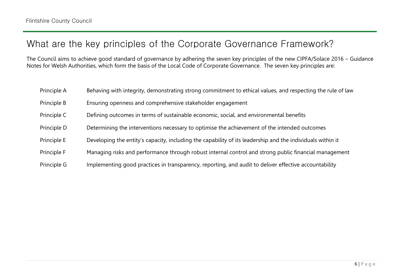# What are the key principles of the Corporate Governance Framework?

The Council aims to achieve good standard of governance by adhering the seven key principles of the new CIPFA/Solace 2016 – Guidance Notes for Welsh Authorities, which form the basis of the Local Code of Corporate Governance. The seven key principles are:

| Principle A | Behaving with integrity, demonstrating strong commitment to ethical values, and respecting the rule of law |
|-------------|------------------------------------------------------------------------------------------------------------|
| Principle B | Ensuring openness and comprehensive stakeholder engagement                                                 |
| Principle C | Defining outcomes in terms of sustainable economic, social, and environmental benefits                     |
| Principle D | Determining the interventions necessary to optimise the achievement of the intended outcomes               |
| Principle E | Developing the entity's capacity, including the capability of its leadership and the individuals within it |
| Principle F | Managing risks and performance through robust internal control and strong public financial management      |
| Principle G | Implementing good practices in transparency, reporting, and audit to deliver effective accountability      |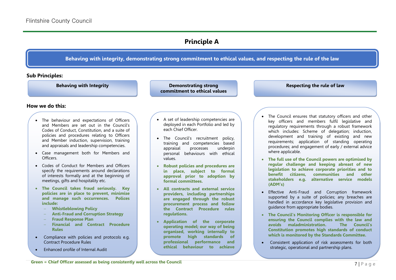### **Principle A**

#### **Behaving with integrity, demonstrating strong commitment to ethical values, and respecting the rule of the law**

#### **Sub Principles:**

**Behaving with Integrity and Communisty Communisty Demonstrating strong Respecting the rule of law commitment to ethical values**

**How we do this:**

- The behaviour and expectations of Officers and Members are set out in the Council's Codes of Conduct, Constitution, and a suite of policies and procedures relating to Officers and Member induction, supervision, training and appraisals and leadership competencies.
- Case management both for Members and Officers.
- Codes of Conduct for Members and Officers specify the requirements around declarations of interests formally and at the beginning of meetings, gifts and hospitality etc.
- **The Council takes fraud seriously. Key policies are in place to prevent, minimise and manage such occurrences. Polices include:** 
	- **Whistleblowing Policy**
	- **Anti-Fraud and Corruption Strategy**
	- **Fraud Response Plan**
	- **Financial and Contract Procedure Rules**
- Compliance with policies and protocols e.g. Contract Procedure Rules
- Enhanced profile of Internal Audit
- A set of leadership competencies are deployed in each Portfolio and led by each Chief Officer.
- The Council's recruitment policy, training and competencies based appraisal processes underpin personal behaviours with ethical values.
- **Robust policies and procedures are in place, subject to formal approval prior to adoption by formal committees.**
- **All contracts and external service providers, including partnerships are engaged through the robust procurement process and follow the Contract Procedure rules regulations.**
- **Application of the corporate operating model; our way of being organised, working internally to promote high standards of professional performance and ethical behaviour to achieve**

**organisational priorities and** 

**objectives.**

- The Council ensures that statutory officers and other key officers and members fulfil legislative and regulatory requirements through a robust framework which includes: Scheme of delegation; induction, development and training of existing and new requirements; application of standing operating procedures; and engagement of early / external advice where applicable.
- **The full use of the Council powers are optimised by regular challenge and keeping abreast of new legislation to achieve corporate priorities and to benefit citizens, communities and other stakeholders e.g. alternative service models (ADM's)**
- Effective Anti-Fraud and Corruption framework supported by a suite of policies; any breaches are handled in accordance key legislative provision and guidance from appropriate bodies.
- **The Council's Monitoring Officer is responsible for ensuring the Council complies with the law and avoids maladministration. The Council's Constitution promotes high standards of conduct which is monitored by the Standards Committee.**
- Consistent application of risk assessments for both strategic, operational and partnership plans.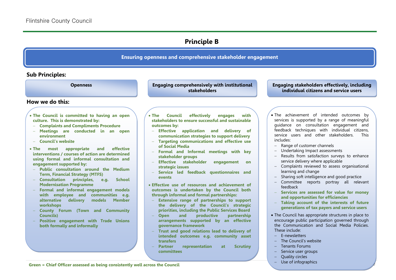### **Principle B**

#### **Ensuring openness and comprehensive stakeholder engagement**

#### **Sub Principles:**

#### **How we do this:**

- **The Council is committed to having an open culture. This is demonstrated by:**
- **Complaints and Compliments Procedure**
- **Meetings are conducted in an open environment**
- **Council's website**
- **The most appropriate and effective interventions / courses of action are determined using formal and informal consultation and engagement supported by:**
- **Public consultation around the Medium Term, Financial Strategy (MTFS)**
- **Consultation principles, e.g. School Modernisation Programme**
- **Formal and informal engagement models with employee and communities e.g. alternative delivery models Member workshops**
- **County Forum (Town and Community Councils)**
- **Positive engagement with Trade Unions both formally and informally**

**Openness Engaging stakeholders effectively, including Engaging comprehensively with institutional stakeholders**

- **The Council effectively engages with stakeholders to ensure successful and sustainable outcomes by:**
- **Effective application and delivery of communication strategies to support delivery**
- **Targeting communications and effective use of Social Media**
- **Formal and Informal meetings with key stakeholder groups**
- **Effective stakeholder engagement on strategic issues**
- **Service led feedback questionnaires and events**
- **Effective use of resources and achievement of outcomes is undertaken by the Council both through informal and formal partnerships:**
- **Extensive range of partnerships to support the delivery of the Council's strategic priorities, including the Public Services Board**
- **Open and productive partnership arrangements supported by an effective governance framework**
- **Trust and good relations lead to delivery of intended outcomes e.g. community asset transfers**
- **Partner representation at Scrutiny committees**

**individual citizens and service users**

- The achievement of intended outcomes by services is supported by a range of meaningful guidance on consultation engagement and feedback techniques with individual citizens, service users and other stakeholders. This includes:
- Range of customer channels
- Undertaking Impact assessments
- Results from satisfaction surveys to enhance service delivery where applicable
- Complaints reviewed to assess organisational learning and change
- Sharing soft intelligence and good practice
- Committee reports portray all relevant feedback
- **Services are assessed for value for money and opportunities for efficiencies**
- **Taking account of the interests of future generations of tax payers and service users**
- The Council has appropriate structures in place to encourage public participation governed through the Communication and Social Media Policies. These include:

8 | P a g e

- F-newsletters
- The Council's website
- Tenants Forums
- Service user groups
- Quality circles
-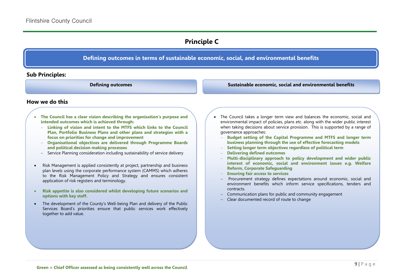### **Principle C**

#### **Defining outcomes in terms of sustainable economic, social, and environmental benefits**

#### **Sub Principles:**

**Defining outcomes Sustainable economic, social and environmental benefits**

#### **How we do this**

- **The Council has a clear vision describing the organisation's purpose and intended outcomes which is achieved through:**
	- **Linking of vision and intent to the MTFS which links to the Council Plan, Portfolio Business Plans and other plans and strategies with a focus on priorities for change and improvement**
	- **Organisational objectives are delivered through Programme Boards and political decision making processes**
	- Service Planning consideration including sustainability of service delivery
- Risk Management is applied consistently at project, partnership and business plan levels using the corporate performance system (CAMMS) which adheres to the Risk Management Policy and Strategy and ensures consistent application of risk registers and terminology.
- **Risk appetite is also considered whilst developing future scenarios and options with key staff.**
- The development of the County's Well-being Plan and delivery of the Public Services Board's priorities ensure that public services work effectively together to add value.
- The Council takes a longer term view and balances the economic, social and environmental impact of policies, plans etc. along with the wider public interest when taking decisions about service provision. This is supported by a range of governance approaches:
	- **Budget setting of the Capital Programme and MTFS and longer term business planning through the use of effective forecasting models**
	- **Setting longer term objectives regardless of political term**
	- **Delivering defined outcomes**
	- **Multi-disciplinary approach to policy development and wider public interest of economic, social and environment issues e.g. Welfare Reform, Corporate Safeguarding**
	- **Ensuring fair access to services**
	- Procurement strategy defines expectations around economic, social and environment benefits which inform service specifications, tenders and contracts.
	- Communication plans for public and community engagement
	- Clear documented record of route to change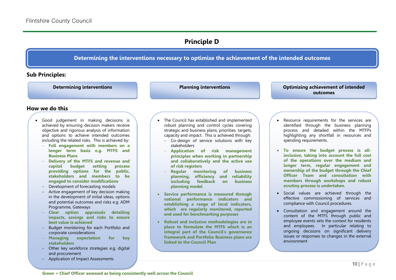### **Principle D**

### **Determining the interventions necessary to optimise the achievement of the intended outcomes**

#### **Sub Principles:**

**Planning interventions**

**Determining interventions Determining interventions Optimising achievement of intended outcomes**

#### **How we do this**

- Good judgement in making decisions is achieved by ensuring decision makers receive objective and rigorous analysis of information and options to achieve intended outcomes including the related risks. This is achieved by:
	- **Full engagement with members on a longer term basis e.g. MTFS and Business Plans**
	- **Delivery of the MTFS and revenue and capital budget setting process providing options for the public, stakeholders and members to be engaged to consider modifications**
	- Development of forecasting models
	- Active engagement of key decision making in the development of initial ideas, options and potential outcomes and risks e.g. ADM Programme, Gateways
	- **Clear option appraisals detailing impacts, savings and risks to ensure best value is achieved**
	- Budget monitoring for each Portfolio and corporate considerations
	- **Managing expectation for key stakeholders**
	- Other key workforce strategies e.g. digital and procurement
	- Application of Impact Assessments
- The Council has established and implemented robust planning and control cycles covering strategic and business plans, priorities, targets, capacity and impact. This is achieved through:
	- Co-design of service solutions with key stakeholders
	- **Application of risk management principles when working in partnership and collaboratively and the active use of risk registers**
	- **Regular monitoring of business planning, efficiency and reliability including feedback on business planning model**
- **Service performance is measured through national performance indicators and establishing a range of local indicators, which are regularly monitored, reported and used for benchmarking purposes**
- **Robust and inclusive methodologies are in place to formulate the MTFS which is an integral part of the Council's governance framework and Portfolio Business plans are linked to the Council Plan**
- Resource requirements for the services are identified through the business planning process and detailed within the MTFPs highlighting any shortfall in resources and spending requirements.
- **To ensure the budget process is allinclusive, taking into account the full cost of the operations over the medium and longer term, regular engagement and ownership of the budget through the Chief Officer Team and consultation with members through workshops and robust scrutiny process is undertaken.**
- Social values are achieved through the effective commissioning of services and compliance with Council procedures.
- Consultation and engagement around the content of the MTFS through public and employee events sets the context for residents and employees. In particular relating to ongoing decisions on significant delivery issues or responses to changes in the external environment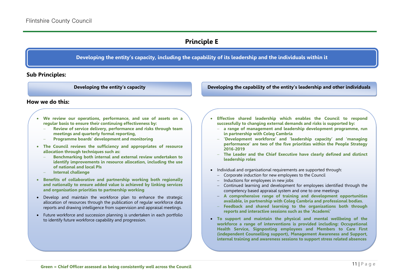### **Principle E**

**Developing the entity's capacity, including the capability of its leadership and the individuals within it**

**Sub Principles:**

**Developing the entity's capacity Developing the capability of the entity's leadership and other individuals**

**How we do this:**

- **We review our operations, performance, and use of assets on a regular basis to ensure their continuing effectiveness by:**
	- **Review of service delivery, performance and risks through team meetings and quarterly formal reporting,**
	- **Programme boards' development and monitoring**
- **The Council reviews the sufficiency and appropriates of resource allocation through techniques such as:** 
	- **Benchmarking both internal and external review undertaken to identify improvements in resource allocation, including the use of national and local PIs**
	- **Internal challenge**
- **Benefits of collaborative and partnership working both regionally and nationally to ensure added value is achieved by linking services and organisation priorities to partnership working**
- Develop and maintain the workforce plan to enhance the strategic allocation of resources through the publication of regular workforce data reports and drawing intelligence from supervision and appraisal meetings.
- Future workforce and succession planning is undertaken in each portfolio to identify future workforce capability and progression.
- **Effective shared leadership which enables the Council to respond successfully to changing external demands and risks is supported by:**
	- **a range of management and leadership development programme, run in partnership with Coleg Cambria**
	- **'Development workforce' and 'leadership capacity' and 'managing performance' are two of the five priorities within the People Strategy 2016-2019**
	- **The Leader and the Chief Executive have clearly defined and distinct leadership roles**
- Individual and organisational requirements are supported through:
	- Corporate induction for new employees to the Council
	- $-$  Inductions for employees in new jobs
	- Continued learning and development for employees identified through the competency based appraisal system and one to one meetings
	- **A comprehensive range of training and development opportunities available, in partnership with Coleg Cambria and professional bodies**.
	- **Feedback and shared learning to the organisations both through reports and interactive sessions such as the 'Academi'**
- **To support and maintain the physical and mental wellbeing of the workforce a range of interventions is provided including: Occupational Health Service, Signposting employees and Members to Care First (independent Counselling support), Management Awareness and Support, internal training and awareness sessions to support stress related absences**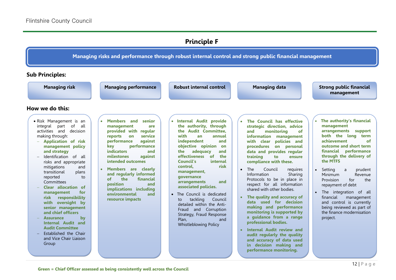### **Principle F**

**Managing risks and performance through robust internal control and strong public financial management**

**Sub Principles:**

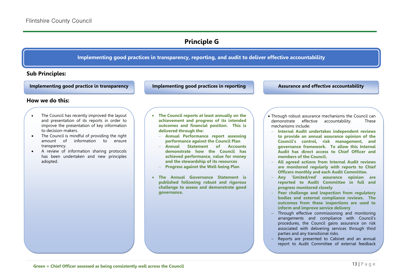### **Principle G**

#### **Implementing good practices in transparency, reporting, and audit to deliver effective accountability**

#### **Sub Principles:**

**Implementing good practice in transparency Implementing good practices in reporting Assurance and effective accountability**

#### **How we do this:**

- The Council has recently improved the layout and presentation of its reports in order to improve the presentation of key information to decision-makers.
- The Council is mindful of providing the right amount of information to ensure transparency.
- A review of information sharing protocols has been undertaken and new principles adopted.
- **The Council reports at least annually on the achievement and progress of its intended outcomes and financial position. This is delivered through the:** 
	- **Annual Performance report assessing performance against the Council Plan**
	- **Annual Statement of Accounts demonstrate how the Council has achieved performance, value for money and the stewardship of its resources**
	- **Progress against the Well-being Plan**
- **The Annual Governance Statement is published following robust and rigorous challenge to assess and demonstrate good governance.**
- Through robust assurance mechanisms the Council can demonstrate effective accountability. These mechanisms include:
- **Internal Audit undertakes independent reviews to provide an annual assurance opinion of the Council's control, risk management, and governance framework. To allow this Internal Audit has direct access to Chief Officer and members of the Council.**
- **All agreed actions from Internal Audit reviews are monitored regularly with reports to Chief Officers monthly and each Audit Committee.**
- **Any 'limited/red' assurance opinion are reported to Audit Committee in full and progress monitored closely**
- **Peer challenge and inspection from regulatory bodies and external compliance reviews. The outcomes from these inspections are used to inform and improve service delivery**
- Through effective commissioning and monitoring arrangements and compliance with Council's procedures, the Council gains assurance on risk associated with delivering services through third parties and any transitional risks.
- Reports are presented to Cabinet and an annual report to Audit Committee of external feedback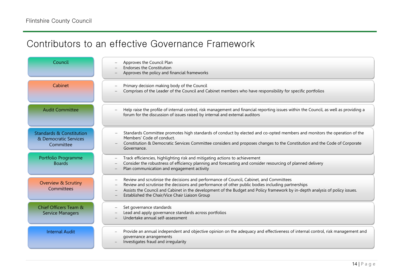# Contributors to an effective Governance Framework

| Council                                                                   | Approves the Council Plan<br><b>Endorses the Constitution</b><br>Approves the policy and financial frameworks                                                                                                                                                                                                                                                                  |
|---------------------------------------------------------------------------|--------------------------------------------------------------------------------------------------------------------------------------------------------------------------------------------------------------------------------------------------------------------------------------------------------------------------------------------------------------------------------|
| Cabinet                                                                   | Primary decision making body of the Council<br>Comprises of the Leader of the Council and Cabinet members who have responsibility for specific portfolios                                                                                                                                                                                                                      |
| <b>Audit Committee</b>                                                    | Help raise the profile of internal control, risk management and financial reporting issues within the Council, as well as providing a<br>forum for the discussion of issues raised by internal and external auditors                                                                                                                                                           |
| <b>Standards &amp; Constitution</b><br>& Democratic Services<br>Committee | Standards Committee promotes high standards of conduct by elected and co-opted members and monitors the operation of the<br>Members' Code of conduct.<br>Constitution & Democratic Services Committee considers and proposes changes to the Constitution and the Code of Corporate<br>Governance.                                                                              |
| Portfolio Programme<br><b>Boards</b>                                      | Track efficiencies, highlighting risk and mitigating actions to achievement<br>Consider the robustness of efficiency planning and forecasting and consider resourcing of planned delivery<br>Plan communication and engagement activity                                                                                                                                        |
| <b>Overview &amp; Scrutiny</b><br>Committees                              | Review and scrutinise the decisions and performance of Council, Cabinet, and Committees<br>Review and scrutinise the decisions and performance of other public bodies including partnerships<br>Assists the Council and Cabinet in the development of the Budget and Policy framework by in-depth analysis of policy issues.<br>Established the Chair/Vice Chair Liaison Group |
| Chief Officers Team &<br><b>Service Managers</b>                          | Set governance standards<br>Lead and apply governance standards across portfolios<br>Undertake annual self-assessment                                                                                                                                                                                                                                                          |
| <b>Internal Audit</b>                                                     | Provide an annual independent and objective opinion on the adequacy and effectiveness of internal control, risk management and<br>governance arrangements<br>Investigates fraud and irregularity                                                                                                                                                                               |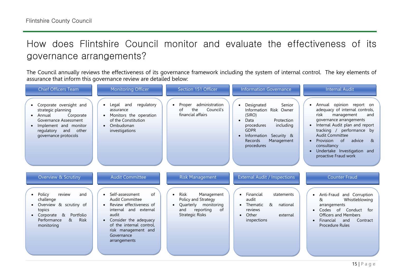# How does Flintshire Council monitor and evaluate the effectiveness of its governance arrangements?

The Council annually reviews the effectiveness of its governance framework including the system of internal control. The key elements of assurance that inform this governance review are detailed below:

| <b>Chief Officers Team</b>                                                                                                                                                   | <b>Monitoring Officer</b>                                                                                                                                                                                              | Section 151 Officer                                                                                                                             | <b>Information Governance</b>                                                                                                                                                                          | <b>Internal Audit</b>                                                                                                                                                                                                                                                                                                  |
|------------------------------------------------------------------------------------------------------------------------------------------------------------------------------|------------------------------------------------------------------------------------------------------------------------------------------------------------------------------------------------------------------------|-------------------------------------------------------------------------------------------------------------------------------------------------|--------------------------------------------------------------------------------------------------------------------------------------------------------------------------------------------------------|------------------------------------------------------------------------------------------------------------------------------------------------------------------------------------------------------------------------------------------------------------------------------------------------------------------------|
| Corporate oversight and<br>strategic planning<br>Annual<br>Corporate<br>Governance Assessment<br>Implement and monitor<br>other<br>regulatory<br>and<br>governance protocols | regulatory<br>Legal and<br>assurance<br>Monitors the operation<br>of the Constitution<br>Ombudsman<br>investigations                                                                                                   | administration<br>Proper<br>the<br>Council's<br>οf<br>financial affairs                                                                         | Senior<br>Designated<br>Information Risk Owner<br>(SIRO)<br>Protection<br>Data<br>$\bullet$<br>procedures<br>including<br><b>GDPR</b><br>Information Security &<br>Management<br>Records<br>procedures | Annual opinion report on<br>adequacy of internal controls,<br>risk<br>management<br>and<br>governance arrangements<br>• Internal Audit plan and report<br>tracking / performance by<br><b>Audit Committee</b><br>Provision<br>advice<br>of<br>୍ୟ<br>consultancy<br>Undertake Investigation and<br>proactive Fraud work |
| Overview & Scrutiny                                                                                                                                                          | <b>Audit Committee</b>                                                                                                                                                                                                 | <b>Risk Management</b>                                                                                                                          | <b>External Audit / Inspections</b>                                                                                                                                                                    | <b>Counter Fraud</b>                                                                                                                                                                                                                                                                                                   |
| Policy<br>review<br>and<br>challenge<br>Overview & scrutiny of<br>topics<br>Portfolio<br>Corporate &<br>&<br><b>Risk</b><br>Performance<br>monitoring                        | Self-assessment<br>of<br><b>Audit Committee</b><br>Review effectiveness of<br>internal and external<br>audit<br>Consider the adequacy<br>of the internal control,<br>risk management and<br>Governance<br>arrangements | Management<br>Risk<br>$\bullet$<br>Policy and Strategy<br>Quarterly monitoring<br>$\bullet$<br>and<br>reporting<br>of<br><b>Strategic Risks</b> | • Financial<br>statements<br>audit<br>• Thematic<br>&<br>national<br>reviews<br>Other<br>external<br>$\bullet$<br>inspections                                                                          | • Anti-Fraud and Corruption<br>Whistleblowing<br>&<br>arrangements<br>Codes of Conduct<br>for<br><b>Officers and Members</b><br>Financial<br>and<br>Contract<br><b>Procedure Rules</b>                                                                                                                                 |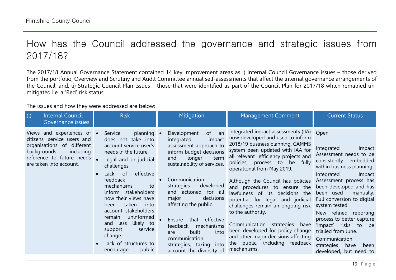# How has the Council addressed the governance and strategic issues from 2017/18?

The 2017/18 Annual Governance Statement contained 14 key improvement areas as i) Internal Council Governance issues – those derived from the portfolio, Overview and Scrutiny and Audit Committee annual self-assessments that affect the internal governance arrangements of the Council; and, ii) Strategic Council Plan issues – those that were identified as part of the Council Plan for 2017/18 which remained unmitigated i.e. a 'Red' risk status.

The issues and how they were addressed are below:

| <b>Internal Council</b><br>(i)<br>Governance issues                                                                                                                         | <b>Risk</b>                                                                                                                                                                                                                                                                                                                                                                                                                                      | Mitigation                                                                                                                                                                                                                                                                                                                                                                                                                               | <b>Management Comment</b>                                                                                                                                                                                                                                                                                                                                                                                                                                                                                                                                                                                                                | <b>Current Status</b>                                                                                                                                                                                                                                                                                                                                                                                                                                     |
|-----------------------------------------------------------------------------------------------------------------------------------------------------------------------------|--------------------------------------------------------------------------------------------------------------------------------------------------------------------------------------------------------------------------------------------------------------------------------------------------------------------------------------------------------------------------------------------------------------------------------------------------|------------------------------------------------------------------------------------------------------------------------------------------------------------------------------------------------------------------------------------------------------------------------------------------------------------------------------------------------------------------------------------------------------------------------------------------|------------------------------------------------------------------------------------------------------------------------------------------------------------------------------------------------------------------------------------------------------------------------------------------------------------------------------------------------------------------------------------------------------------------------------------------------------------------------------------------------------------------------------------------------------------------------------------------------------------------------------------------|-----------------------------------------------------------------------------------------------------------------------------------------------------------------------------------------------------------------------------------------------------------------------------------------------------------------------------------------------------------------------------------------------------------------------------------------------------------|
| Views and experiences of •<br>citizens, service users and<br>organisations of different<br>including<br>backgrounds<br>reference to future needs<br>are taken into account. | planning •<br>Service<br>does not take into<br>account service user's<br>needs in the future.<br>Legal and or judicial<br>challenges.<br>effective<br>Lack of<br>$\bullet$<br>feedback<br>mechanisms<br>to<br>inform stakeholders<br>how their views have<br>taken<br>into<br>been<br>account: stakeholders<br>uninformed<br>remain<br>likely to<br>and<br>less<br>support<br>service<br>change.<br>Lack of structures to<br>public<br>encourage | Development<br>of<br>an<br>integrated<br>impact<br>assessment approach to<br>inform budget decisions<br>longer<br>and<br>term<br>sustainability of services.<br>Communication<br>strategies<br>developed<br>and actioned for all<br>decisions<br>major<br>affecting the public.<br>effective<br>that<br>Ensure<br>feedback<br>mechanisms<br>into<br>built<br>are<br>communication<br>strategies, taking into<br>account the diversity of | Integrated impact assessments (IIA)<br>now developed and used to inform<br>2018/19 business planning. CAMMS<br>system been updated with IAA for<br>all relevant efficiency projects and<br>policies; process to<br>fully<br>be<br>operational from May 2019.<br>Although the Council has policies<br>and procedures to ensure the<br>lawfulness of its decisions the<br>potential for legal and judicial<br>challenges remain an ongoing risk<br>to the authority.<br>Communication<br>strategies<br>have<br>been developed for policy change<br>and other major decisions affecting<br>public, including feedback<br>the<br>mechanisms. | Open<br>Integrated<br>Impact<br>Assessment needs to be<br>consistently<br>embedded<br>within business planning.<br>Integrated<br>Impact<br>Assessment process has<br>been developed and has<br>been used<br>manually.<br>Full conversion to digital<br>system tested.<br>New refined reporting<br>process to better capture<br>'Impact' risks<br>to<br>be<br>trialled from June.<br>Communication<br>strategies<br>have<br>been<br>developed, but need to |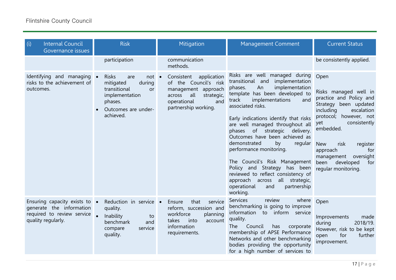| (i)<br><b>Internal Council</b><br>Governance issues                                                           | <b>Risk</b>                                                                                                                                               | Mitigation                                                                                                                                             | <b>Management Comment</b>                                                                                                                                                                                                                                                                                                                                                                                                                                                                                                                                                                                | <b>Current Status</b>                                                                                                                                                                                                                                                                                         |
|---------------------------------------------------------------------------------------------------------------|-----------------------------------------------------------------------------------------------------------------------------------------------------------|--------------------------------------------------------------------------------------------------------------------------------------------------------|----------------------------------------------------------------------------------------------------------------------------------------------------------------------------------------------------------------------------------------------------------------------------------------------------------------------------------------------------------------------------------------------------------------------------------------------------------------------------------------------------------------------------------------------------------------------------------------------------------|---------------------------------------------------------------------------------------------------------------------------------------------------------------------------------------------------------------------------------------------------------------------------------------------------------------|
|                                                                                                               | participation                                                                                                                                             | communication<br>methods.                                                                                                                              |                                                                                                                                                                                                                                                                                                                                                                                                                                                                                                                                                                                                          | be consistently applied.                                                                                                                                                                                                                                                                                      |
| Identifying and managing .<br>risks to the achievement of<br>outcomes.                                        | <b>Risks</b><br>$not \bullet$<br>are<br>during<br>mitigated<br>transitional<br><b>or</b><br>implementation<br>phases.<br>Outcomes are under-<br>achieved. | Consistent<br>application<br>of the Council's risk<br>management approach<br>all<br>across<br>strategic,<br>operational<br>and<br>partnership working. | Risks are well managed during<br>implementation<br>transitional and<br>An<br>implementation<br>phases.<br>template has been developed to<br>implementations<br>track<br>and<br>associated risks.<br>Early indications identify that risks<br>are well managed throughout all<br>phases of strategic delivery.<br>Outcomes have been achieved as<br>demonstrated<br>by<br>regular<br>performance monitoring.<br>The Council's Risk Management<br>Policy and Strategy has been<br>reviewed to reflect consistency of<br>all strategic,<br>approach across<br>operational<br>and<br>partnership<br>working. | Open<br>Risks managed well in<br>practice and Policy and<br>Strategy been updated<br>escalation<br>including<br>protocol; however, not<br>consistently<br>yet<br>embedded.<br><b>New</b><br>risk<br>register<br>approach<br>for<br>oversight<br>management<br>been<br>developed<br>for<br>regular monitoring. |
| Ensuring capacity exists to .<br>generate the information<br>required to review service<br>quality regularly. | Reduction in service .<br>quality.<br>Inability<br>to<br>benchmark<br>and<br>service<br>compare<br>quality.                                               | that<br>Ensure<br>service<br>reform, succession and<br>workforce<br>planning<br>takes<br>into<br>account<br>information<br>requirements.               | Services<br>review<br>where<br>benchmarking is going to improve<br>information to inform<br>service<br>quality.<br>Council<br><b>The</b><br>has<br>corporate<br>membership of APSE Performance<br>Networks and other benchmarking<br>bodies providing the opportunity<br>for a high number of services to                                                                                                                                                                                                                                                                                                | Open<br>Improvements<br>made<br>2018/19.<br>during<br>However, risk to be kept<br>for<br>further<br>open<br>improvement.                                                                                                                                                                                      |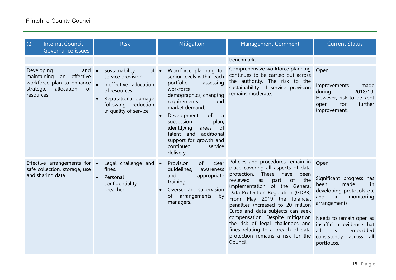| (i)<br><b>Internal Council</b><br>Governance issues                                                                                    | <b>Risk</b>                                                                                                                                                                          | Mitigation                                                                                                                                                                                                                                                                                                                              | <b>Management Comment</b>                                                                                                                                                                                                                                                                                                                                                                                                                                                                           | <b>Current Status</b>                                                                                                                                                                                                                                         |
|----------------------------------------------------------------------------------------------------------------------------------------|--------------------------------------------------------------------------------------------------------------------------------------------------------------------------------------|-----------------------------------------------------------------------------------------------------------------------------------------------------------------------------------------------------------------------------------------------------------------------------------------------------------------------------------------|-----------------------------------------------------------------------------------------------------------------------------------------------------------------------------------------------------------------------------------------------------------------------------------------------------------------------------------------------------------------------------------------------------------------------------------------------------------------------------------------------------|---------------------------------------------------------------------------------------------------------------------------------------------------------------------------------------------------------------------------------------------------------------|
|                                                                                                                                        |                                                                                                                                                                                      |                                                                                                                                                                                                                                                                                                                                         | benchmark.                                                                                                                                                                                                                                                                                                                                                                                                                                                                                          |                                                                                                                                                                                                                                                               |
| Developing<br>and $\bullet$<br>an effective<br>maintaining<br>workforce plan to enhance<br>allocation<br>of<br>strategic<br>resources. | Sustainability<br>$of \bullet$<br>service provision.<br>Ineffective allocation<br>of resources.<br>Reputational damage<br>$\bullet$<br>following reduction<br>in quality of service. | Workforce planning for<br>senior levels within each<br>portfolio<br>assessing<br>workforce<br>demographics, changing<br>requirements<br>and<br>market demand.<br>of<br>Development<br>a<br>succession<br>plan,<br>identifying<br>of<br>areas<br>talent and<br>additional<br>support for growth and<br>continued<br>service<br>delivery. | Comprehensive workforce planning<br>continues to be carried out across<br>the authority. The risk to the<br>sustainability of service provision<br>remains moderate.                                                                                                                                                                                                                                                                                                                                | Open<br>Improvements<br>made<br>2018/19.<br>during<br>However, risk to be kept<br>for<br>further<br>open<br>improvement.                                                                                                                                      |
| Effective arrangements for •<br>safe collection, storage, use<br>and sharing data.                                                     | Legal challenge and •<br>fines.<br>Personal<br>$\bullet$<br>confidentiality<br>breached.                                                                                             | Provision<br>of<br>clear<br>quidelines,<br>awareness<br>appropriate<br>and<br>training.<br>Oversee and supervision<br>of arrangements<br>by<br>managers.                                                                                                                                                                                | Policies and procedures remain in<br>place covering all aspects of data<br>have<br>protection.<br>These<br>been<br>of<br>reviewed<br>the<br>part<br>as<br>implementation of the General<br>Data Protection Regulation (GDPR)<br>From May 2019 the financial<br>penalties increased to 20 million<br>Euros and data subjects can seek<br>compensation. Despite mitigation<br>the risk of legal challenges and<br>fines relating to a breach of data<br>protection remains a risk for the<br>Council. | Open<br>Significant progress has<br>made<br>in<br>been<br>developing protocols etc<br>monitoring<br>and<br>in<br>arrangements.<br>Needs to remain open as<br>insufficient evidence that<br>all<br>is<br>embedded<br>consistently<br>across all<br>portfolios. |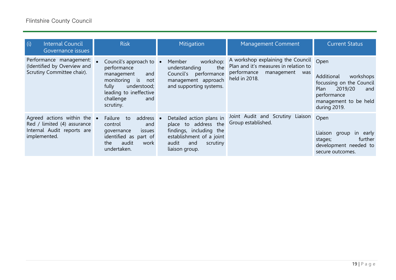| (i)<br><b>Internal Council</b><br>Governance issues                                                              | <b>Risk</b>                                                                                                                                                            | Mitigation                                                                                                                                            | <b>Management Comment</b>                                                                                                       | <b>Current Status</b>                                                                                                                         |
|------------------------------------------------------------------------------------------------------------------|------------------------------------------------------------------------------------------------------------------------------------------------------------------------|-------------------------------------------------------------------------------------------------------------------------------------------------------|---------------------------------------------------------------------------------------------------------------------------------|-----------------------------------------------------------------------------------------------------------------------------------------------|
| Performance management:<br>(Identified by Overview and<br>Scrutiny Committee chair).                             | Council's approach to •<br>performance<br>management<br>and<br>monitoring is<br>not<br>fully<br>understood;<br>leading to ineffective<br>challenge<br>and<br>scrutiny. | workshop:<br>Member<br>the<br>understanding<br>Council's<br>performance<br>management approach<br>and supporting systems.                             | A workshop explaining the Council<br>Plan and it's measures in relation to<br>performance<br>management<br>was<br>held in 2018. | Open<br>Additional<br>workshops<br>focussing on the Council<br>Plan<br>2019/20<br>and<br>performance<br>management to be held<br>during 2019. |
| Agreed actions within the $\bullet$<br>Red / limited (4) assurance<br>Internal Audit reports are<br>implemented. | address •<br>Failure<br>to<br>control<br>and<br>issues<br>qovernance<br>identified as part of<br>audit<br>the<br>work<br>undertaken.                                   | Detailed action plans in<br>place to address the<br>findings, including the<br>establishment of a joint<br>scrutiny<br>and<br>audit<br>liaison group. | Joint Audit and Scrutiny Liaison<br>Group established.                                                                          | Open<br>Liaison group<br>in in<br>early<br>further<br>stages;<br>development needed to<br>secure outcomes.                                    |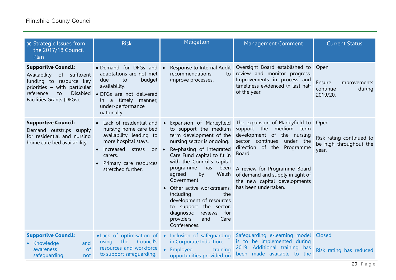| (ii) Strategic Issues from<br>the 2017/18 Council<br>Plan                                                                                                                                 | <b>Risk</b>                                                                                                                                                                                                                     | Mitigation                                                                                                                                                                                                                                                                                                                                                                                                                                                 | <b>Management Comment</b>                                                                                                                                                                                                                                                                        | <b>Current Status</b>                                                   |
|-------------------------------------------------------------------------------------------------------------------------------------------------------------------------------------------|---------------------------------------------------------------------------------------------------------------------------------------------------------------------------------------------------------------------------------|------------------------------------------------------------------------------------------------------------------------------------------------------------------------------------------------------------------------------------------------------------------------------------------------------------------------------------------------------------------------------------------------------------------------------------------------------------|--------------------------------------------------------------------------------------------------------------------------------------------------------------------------------------------------------------------------------------------------------------------------------------------------|-------------------------------------------------------------------------|
| <b>Supportive Council:</b><br>Availability<br>of sufficient<br>funding to resource key<br>priorities - with particular<br><b>Disabled</b><br>reference<br>to<br>Facilities Grants (DFGs). | • Demand for DFGs and •<br>adaptations are not met<br>due<br>to<br>budget<br>availability.<br>· DFGs are not delivered<br>in a timely manner;<br>under-performance<br>nationally.                                               | Response to Internal Audit<br>recommendations<br>to<br>improve processes.                                                                                                                                                                                                                                                                                                                                                                                  | Oversight Board established to<br>review and monitor progress.<br>Improvements in process and<br>timeliness evidenced in last half<br>of the year.                                                                                                                                               | Open<br><b>Ensure</b><br>improvements<br>continue<br>during<br>2019/20. |
| <b>Supportive Council:</b><br>Demand outstrips supply<br>for residential and nursing<br>home care bed availability.                                                                       | Lack of residential and<br>nursing home care bed<br>availability leading to<br>more hospital stays.<br>Increased<br>stress<br>$on \bullet$<br>$\bullet$<br>carers.<br>Primary care resources<br>$\bullet$<br>stretched further. | Expansion of Marleyfield<br>to support the medium<br>term development of the<br>nursing sector is ongoing.<br>Re-phasing of Integrated<br>Care Fund capital to fit in<br>with the Council's capital<br>has<br>programme<br>been<br>agreed<br>Welsh<br>by<br>Government.<br>Other active workstreams,<br>including<br>the<br>development of resources<br>to support the sector,<br>diagnostic<br>for<br>reviews<br>providers<br>Care<br>and<br>Conferences. | The expansion of Marleyfield to<br>support the medium term<br>development of the nursing<br>sector continues<br>under the<br>direction of the<br>Programme<br>Board.<br>A review for Programme Board<br>of demand and supply in light of<br>the new capital developments<br>has been undertaken. | Open<br>Risk rating continued to<br>be high throughout the<br>year.     |
| <b>Supportive Council:</b><br>Knowledge<br>and<br>of<br>awareness<br>safeguarding<br>not                                                                                                  | • Lack of optimisation of •<br>the<br>Council's<br>using<br>resources and workforce<br>to support safequarding.                                                                                                                 | Inclusion of safeguarding<br>in Corporate Induction.<br>Employee<br>training<br>opportunities provided on                                                                                                                                                                                                                                                                                                                                                  | Safeguarding e-learning model Closed<br>is to be implemented during<br>2019. Additional training<br>has<br>been made available to the                                                                                                                                                            | Risk rating has reduced                                                 |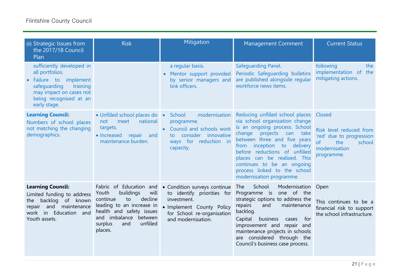| (ii) Strategic Issues from<br>the 2017/18 Council<br>Plan                                                                                                                             | <b>Risk</b>                                                                                                                                                                                                   | Mitigation                                                                                                                                                 | <b>Management Comment</b>                                                                                                                                                                                                                                                                                                                                        | <b>Current Status</b>                                                                                               |
|---------------------------------------------------------------------------------------------------------------------------------------------------------------------------------------|---------------------------------------------------------------------------------------------------------------------------------------------------------------------------------------------------------------|------------------------------------------------------------------------------------------------------------------------------------------------------------|------------------------------------------------------------------------------------------------------------------------------------------------------------------------------------------------------------------------------------------------------------------------------------------------------------------------------------------------------------------|---------------------------------------------------------------------------------------------------------------------|
| sufficiently developed in<br>all portfolios.<br>Failure to<br>implement<br>$\bullet$<br>safequarding<br>training<br>may impact on cases not<br>being recognised at an<br>early stage. |                                                                                                                                                                                                               | a regular basis.<br>Mentor support provided<br>$\bullet$<br>by senior managers and<br>link officers.                                                       | <b>Safeguarding Panel.</b><br>Periodic Safequarding bulletins<br>are published alongside regular<br>workforce news items.                                                                                                                                                                                                                                        | following<br>the<br>implementation of the<br>mitigating actions.                                                    |
| <b>Learning Council:</b><br>Numbers of school places<br>not matching the changing<br>demographics.                                                                                    | • Unfilled school places do .<br>meet<br>national<br>not<br>targets.<br>• Increased<br>repair<br>and<br>maintenance burden.                                                                                   | modernisation<br>School<br>programme.<br>Council and schools work<br>consider innovative<br>to.<br>ways for reduction in<br>capacity.                      | Reducing unfilled school places<br>via school organisation change<br>is an ongoing process. School<br>projects<br>change<br>can<br>take<br>between three and five years<br>from inception to delivery<br>before reductions of unfilled<br>places can be realised. This<br>continues to be an ongoing<br>process linked to the school<br>modernisation programme. | Closed<br>Risk level reduced from<br>'red' due to progression<br>of<br>the<br>school<br>modernisation<br>programme. |
| <b>Learning Council:</b><br>Limited funding to address<br>backlog of known<br>the<br>maintenance<br>and<br>repair<br>in Education<br>work<br>and<br>Youth assets.                     | Fabric of Education and<br>Youth<br>buildings<br>will<br>decline<br>continue<br>to<br>leading to an increase in<br>health and safety issues<br>and imbalance between<br>unfilled<br>surplus<br>and<br>places. | • Condition surveys continue<br>to identify priorities for<br>investment.<br>· Implement County Policy<br>for School re-organisation<br>and modernisation. | School<br>Modernisation Open<br>The<br>Programme is one of the<br>strategic options to address the<br>repairs<br>and<br>maintenance<br>backlog.<br>Capital<br>business<br>for<br>cases<br>improvement and repair and<br>maintenance projects in schools<br>are considered through the<br>Council's business case process.                                        | This continues to be a<br>financial risk to support<br>the school infrastructure.                                   |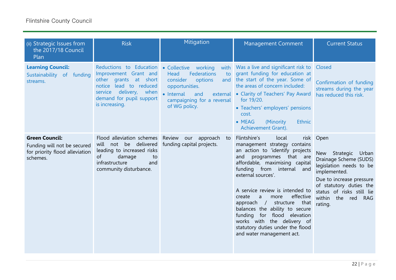| (ii) Strategic Issues from<br>the 2017/18 Council<br>Plan                                          | <b>Risk</b>                                                                                                                                                                                            | Mitigation                                                                                                                                    | <b>Management Comment</b>                                                                                                                                                                                                                                                                                                                                                                                                                                                               | <b>Current Status</b>                                                                                                                                                                                                                                |
|----------------------------------------------------------------------------------------------------|--------------------------------------------------------------------------------------------------------------------------------------------------------------------------------------------------------|-----------------------------------------------------------------------------------------------------------------------------------------------|-----------------------------------------------------------------------------------------------------------------------------------------------------------------------------------------------------------------------------------------------------------------------------------------------------------------------------------------------------------------------------------------------------------------------------------------------------------------------------------------|------------------------------------------------------------------------------------------------------------------------------------------------------------------------------------------------------------------------------------------------------|
| <b>Learning Council:</b><br>Sustainability of funding<br>streams.                                  | Reductions to Education . Collective working<br>Improvement Grant and<br>other grants at short<br>notice lead to reduced<br>when<br>delivery,<br>service<br>demand for pupil support<br>is increasing. | Head<br><b>Federations</b><br>to<br>consider<br>options<br>opportunities.<br>• Internal<br>and<br>campaigning for a reversal<br>of WG policy. | with Was a live and significant risk to Closed<br>grant funding for education at<br>and the start of the year. Some of<br>the areas of concern included:<br>external • Clarity of Teachers' Pay Award<br>for 19/20.<br>• Teachers' employers' pensions<br>cost.<br>• MEAG<br>(Minority<br><b>Ethnic</b><br>Achievement Grant).                                                                                                                                                          | Confirmation of funding<br>streams during the year<br>has reduced this risk.                                                                                                                                                                         |
| <b>Green Council:</b><br>Funding will not be secured<br>for priority flood alleviation<br>schemes. | Flood alleviation schemes<br>will not be delivered<br>leading to increased risks<br>damage<br>of<br>to<br>infrastructure<br>and<br>community disturbance.                                              | Review<br>our approach<br>to<br>funding capital projects.                                                                                     | Flintshire's<br>local<br>management strategy contains<br>an action to 'identify projects<br>programmes that are<br>and<br>affordable, maximising capital<br>funding from internal and<br>external sources'.<br>A service review is intended to<br>effective<br>create<br>a<br>more<br>approach $/$<br>structure<br>that<br>balances the ability to secure<br>funding for flood elevation<br>works with the delivery of<br>statutory duties under the flood<br>and water management act. | risk Open<br>Strategic<br><b>New</b><br>Urban<br>Drainage Scheme (SUDS)<br>legislation needs to be<br>implemented.<br>Due to increase pressure<br>of statutory duties the<br>status of risks still lie<br>within<br>the red<br><b>RAG</b><br>rating. |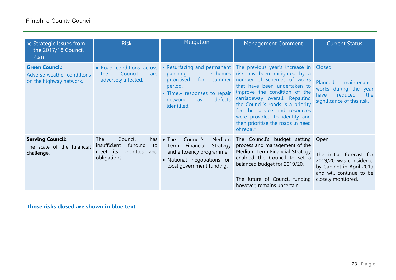| (ii) Strategic Issues from<br>the 2017/18 Council<br>Plan                      | <b>Risk</b>                                                                                             | Mitigation                                                                                                                                                    | <b>Management Comment</b>                                                                                                                                                                                                                                                                                                                                                                            | <b>Current Status</b>                                                                                                           |
|--------------------------------------------------------------------------------|---------------------------------------------------------------------------------------------------------|---------------------------------------------------------------------------------------------------------------------------------------------------------------|------------------------------------------------------------------------------------------------------------------------------------------------------------------------------------------------------------------------------------------------------------------------------------------------------------------------------------------------------------------------------------------------------|---------------------------------------------------------------------------------------------------------------------------------|
| <b>Green Council:</b><br>Adverse weather conditions<br>on the highway network. | • Road conditions across<br>Council<br>the<br>are<br>adversely affected.                                | patching<br>prioritised<br>for<br>summer<br>period.<br>• Timely responses to repair<br>defects<br>network<br><b>as</b><br>identified.                         | • Resurfacing and permanent The previous year's increase in Closed<br>schemes risk has been mitigated by a<br>number of schemes of works<br>that have been undertaken to<br>improve the condition of the<br>carriageway overall. Repairing<br>the Council's roads is a priority<br>for the service and resources<br>were provided to identify and<br>then prioritise the roads in need<br>of repair. | Planned<br>maintenance<br>works during the year<br>reduced<br>the<br>have<br>significance of this risk.                         |
| <b>Serving Council:</b><br>The scale of the financial<br>challenge.            | The<br>Council<br>has<br>insufficient<br>funding<br>to<br>priorities<br>meet its<br>and<br>obligations. | $\bullet$ The<br>Council's<br>Medium<br>Strategy<br>Financial<br>Term<br>and efficiency programme.<br>• National negotiations on<br>local government funding. | The Council's budget setting Open<br>process and management of the<br>Medium Term Financial Strategy<br>enabled the Council to set a<br>balanced budget for 2019/20.<br>The future of Council funding<br>however, remains uncertain.                                                                                                                                                                 | The initial forecast for<br>2019/20 was considered<br>by Cabinet in April 2019<br>and will continue to be<br>closely monitored. |

**Those risks closed are shown in blue text**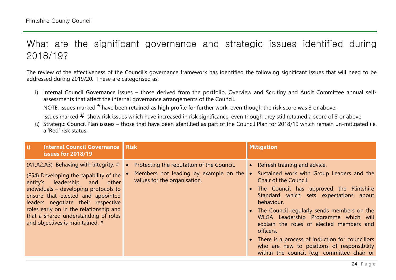# What are the significant governance and strategic issues identified during 2018/19?

The review of the effectiveness of the Council's governance framework has identified the following significant issues that will need to be addressed during 2019/20. These are categorised as:

i) Internal Council Governance issues – those derived from the portfolio, Overview and Scrutiny and Audit Committee annual selfassessments that affect the internal governance arrangements of the Council.

NOTE: Issues marked \* have been retained as high profile for further work, even though the risk score was 3 or above.

Issues marked  $#$  show risk issues which have increased in risk significance, even though they still retained a score of 3 or above

ii) Strategic Council Plan issues – those that have been identified as part of the Council Plan for 2018/19 which remain un-mitigated i.e. a 'Red' risk status.

| <b>Internal Council Governance Risk</b><br>$\vert$ i)<br><b>issues for 2018/19</b>                                                                                                                                                                                                                                                                                     |                                                                                                                    | <b>Mitigation</b>                                                                                                                                                                                                                                                                                                                                                                                                                                                                                                         |
|------------------------------------------------------------------------------------------------------------------------------------------------------------------------------------------------------------------------------------------------------------------------------------------------------------------------------------------------------------------------|--------------------------------------------------------------------------------------------------------------------|---------------------------------------------------------------------------------------------------------------------------------------------------------------------------------------------------------------------------------------------------------------------------------------------------------------------------------------------------------------------------------------------------------------------------------------------------------------------------------------------------------------------------|
| $(A1, A2, A3)$ Behaving with integrity. #<br>(E54) Developing the capability of the<br>leadership<br>entity's<br>other<br>and<br>individuals – developing protocols to<br>ensure that elected and appointed<br>leaders negotiate their respective<br>roles early on in the relationship and<br>that a shared understanding of roles<br>and objectives is maintained. # | Protecting the reputation of the Council.<br>Members not leading by example on the<br>values for the organisation. | • Refresh training and advice.<br>Sustained work with Group Leaders and the<br>$\bullet$<br>Chair of the Council.<br>• The Council has approved the Flintshire<br>Standard which sets expectations about<br>behaviour.<br>• The Council regularly sends members on the<br>WLGA Leadership Programme which will<br>explain the roles of elected members and<br>officers.<br>• There is a process of induction for councillors<br>who are new to positions of responsibility<br>within the council (e.g. committee chair or |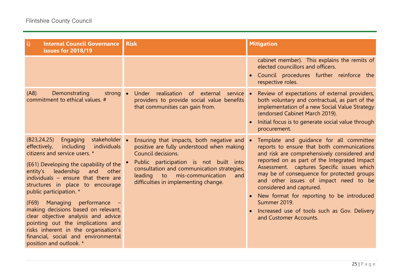| $\ddot{\mathbf{u}}$<br><b>Internal Council Governance</b><br>issues for 2018/19                                                                                                                                                                                                                                                                                                                                                                                                                                                                                                     | <b>Risk</b>                                                                                                                                                                                                                                                                           | <b>Mitigation</b>                                                                                                                                                                                                                                                                                                                                                                                                                                                                            |
|-------------------------------------------------------------------------------------------------------------------------------------------------------------------------------------------------------------------------------------------------------------------------------------------------------------------------------------------------------------------------------------------------------------------------------------------------------------------------------------------------------------------------------------------------------------------------------------|---------------------------------------------------------------------------------------------------------------------------------------------------------------------------------------------------------------------------------------------------------------------------------------|----------------------------------------------------------------------------------------------------------------------------------------------------------------------------------------------------------------------------------------------------------------------------------------------------------------------------------------------------------------------------------------------------------------------------------------------------------------------------------------------|
|                                                                                                                                                                                                                                                                                                                                                                                                                                                                                                                                                                                     |                                                                                                                                                                                                                                                                                       | cabinet member). This explains the remits of<br>elected councillors and officers.<br>Council procedures further reinforce the<br>respective roles.                                                                                                                                                                                                                                                                                                                                           |
| Demonstrating<br>(A8)<br>strong •<br>commitment to ethical values. #                                                                                                                                                                                                                                                                                                                                                                                                                                                                                                                | realisation of external service<br>Under<br>providers to provide social value benefits<br>that communities can gain from.                                                                                                                                                             | Review of expectations of external providers,<br>both voluntary and contractual, as part of the<br>implementation of a new Social Value Strategy<br>(endorsed Cabinet March 2019).<br>Initial focus is to generate social value through<br>procurement.                                                                                                                                                                                                                                      |
| stakeholder .<br>(B23, 24, 25)<br>Engaging<br>effectively,<br>including<br>individuals<br>citizens and service users. *<br>(E61) Developing the capability of the<br>leadership<br>and<br>entity's<br>other<br>individuals $-$ ensure that there are<br>structures in place to encourage<br>public participation. *<br>Managing performance –<br>(F69)<br>making decisions based on relevant,<br>clear objective analysis and advice<br>pointing out the implications and<br>risks inherent in the organisation's<br>financial, social and environmental<br>position and outlook. * | Ensuring that impacts, both negative and<br>positive are fully understood when making<br>Council decisions.<br>Public participation is not built into<br>consultation and communication strategies,<br>mis-communication<br>leading to<br>and<br>difficulties in implementing change. | Template and quidance for all committee<br>reports to ensure that both communications<br>and risk are comprehensively considered and<br>reported on as part of the Integrated Impact<br>Assessment. captures Specific issues which<br>may be of consequence for protected groups<br>and other issues of impact need to be<br>considered and captured.<br>New format for reporting to be introduced<br>Summer 2019.<br>Increased use of tools such as Gov. Delivery<br>and Customer Accounts. |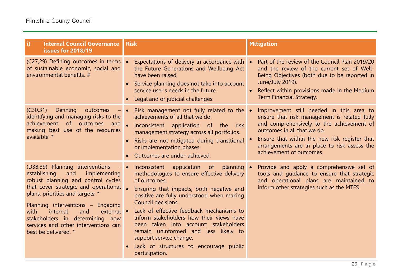| $\ddot{\mathbf{i}}$<br><b>Internal Council Governance</b><br>issues for 2018/19                                                                                                                                                                                                                                                                                           | <b>Risk</b>                                                                                                                                                                                                                                                                                                                                                                                                                                                                                       | <b>Mitigation</b>                                                                                                                                                                                                                                                                                 |
|---------------------------------------------------------------------------------------------------------------------------------------------------------------------------------------------------------------------------------------------------------------------------------------------------------------------------------------------------------------------------|---------------------------------------------------------------------------------------------------------------------------------------------------------------------------------------------------------------------------------------------------------------------------------------------------------------------------------------------------------------------------------------------------------------------------------------------------------------------------------------------------|---------------------------------------------------------------------------------------------------------------------------------------------------------------------------------------------------------------------------------------------------------------------------------------------------|
| (C27,29) Defining outcomes in terms .<br>of sustainable economic, social and<br>environmental benefits. #                                                                                                                                                                                                                                                                 | Expectations of delivery in accordance with •<br>the Future Generations and Wellbeing Act<br>have been raised.<br>Service planning does not take into account<br>service user's needs in the future.<br>Legal and or judicial challenges.                                                                                                                                                                                                                                                         | Part of the review of the Council Plan 2019/20<br>and the review of the current set of Well-<br>Being Objectives (both due to be reported in<br>June/July 2019).<br>Reflect within provisions made in the Medium<br>Term Financial Strategy.                                                      |
| (C30, 31)<br><b>Defining</b><br>outcomes<br>identifying and managing risks to the<br>achievement<br>of outcomes and<br>making best use of the resources<br>available. *                                                                                                                                                                                                   | Risk management not fully related to the<br>achievements of all that we do.<br>Inconsistent application of the<br>risk –<br>management strategy across all portfolios.<br>Risks are not mitigated during transitional<br>or implementation phases.<br>Outcomes are under-achieved.                                                                                                                                                                                                                | Improvement still needed in this area to<br>ensure that risk management is related fully<br>and comprehensively to the achievement of<br>outcomes in all that we do.<br>Ensure that within the new risk register that<br>arrangements are in place to risk assess the<br>achievement of outcomes. |
| (D38,39) Planning interventions<br>establishing<br>implementing<br>and<br>robust planning and control cycles<br>that cover strategic and operational<br>plans, priorities and targets. *<br>Planning interventions - Engaging<br>internal<br>external •<br>with<br>and<br>stakeholders in determining how<br>services and other interventions can<br>best be delivered. * | Inconsistent application<br>of<br>$planning \bullet$<br>methodologies to ensure effective delivery<br>of outcomes.<br>Ensuring that impacts, both negative and<br>positive are fully understood when making<br>Council decisions.<br>Lack of effective feedback mechanisms to<br>inform stakeholders how their views have<br>been taken into account: stakeholders<br>remain uninformed and less likely to<br>support service change.<br>Lack of structures to encourage public<br>participation. | Provide and apply a comprehensive set of<br>tools and guidance to ensure that strategic<br>and operational plans are maintained to<br>inform other strategies such as the MTFS.                                                                                                                   |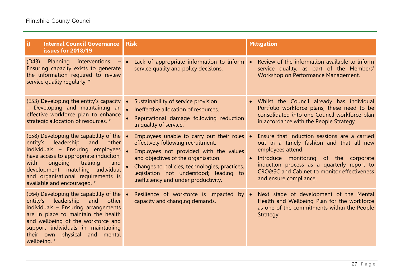| $\ddot{\mathbf{u}}$<br><b>Internal Council Governance</b><br>issues for 2018/19                                                                                                                                                                                                                              | <b>Risk</b>                                                                                                                                                                                                                                                                                           | <b>Mitigation</b>                                                                                                                                                                                                                                                                          |
|--------------------------------------------------------------------------------------------------------------------------------------------------------------------------------------------------------------------------------------------------------------------------------------------------------------|-------------------------------------------------------------------------------------------------------------------------------------------------------------------------------------------------------------------------------------------------------------------------------------------------------|--------------------------------------------------------------------------------------------------------------------------------------------------------------------------------------------------------------------------------------------------------------------------------------------|
| (D43)<br>Planning interventions<br>Ensuring capacity exists to generate<br>the information required to review<br>service quality regularly. *                                                                                                                                                                | Lack of appropriate information to inform •<br>service quality and policy decisions.                                                                                                                                                                                                                  | Review of the information available to inform<br>service quality, as part of the Members'<br>Workshop on Performance Management.                                                                                                                                                           |
| (E53) Developing the entity's capacity<br>Developing and maintaining an<br>effective workforce plan to enhance<br>strategic allocation of resources. *                                                                                                                                                       | Sustainability of service provision.<br>Ineffective allocation of resources.<br>Reputational damage following reduction<br>in quality of service.                                                                                                                                                     | • Whilst the Council already has individual<br>Portfolio workforce plans, these need to be<br>consolidated into one Council workforce plan<br>in accordance with the People Strategy.                                                                                                      |
| (E58) Developing the capability of the $\bullet$<br>entity's leadership and other<br>individuals - Ensuring employees<br>have access to appropriate induction,<br>training<br>ongoing<br>with<br>and<br>development matching individual<br>and organisational requirements is<br>available and encouraged. * | Employees unable to carry out their roles .<br>effectively following recruitment.<br>Employees not provided with the values<br>and objectives of the organisation.<br>Changes to policies, technologies, practices,<br>legislation not understood; leading to<br>inefficiency and under productivity. | Ensure that Induction sessions are a carried<br>out in a timely fashion and that all new<br>employees attend.<br>Introduce monitoring of the corporate<br>$\bullet$<br>induction process as a quarterly report to<br>CRO&SC and Cabinet to monitor effectiveness<br>and ensure compliance. |
| (E64) Developing the capability of the<br>leadership<br>entity's<br>and<br>other<br>individuals - Ensuring arrangements<br>are in place to maintain the health<br>and wellbeing of the workforce and<br>support individuals in maintaining<br>physical and mental<br>their own<br>wellbeing. *               | Resilience of workforce is impacted<br>$by \bullet$<br>capacity and changing demands.                                                                                                                                                                                                                 | Next stage of development of the Mental<br>Health and Wellbeing Plan for the workforce<br>as one of the commitments within the People<br>Strategy.                                                                                                                                         |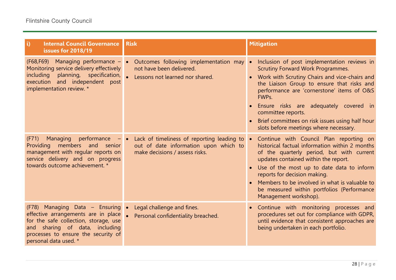| $\mathbf{ii}$<br><b>Internal Council Governance</b><br>issues for 2018/19                                                                                                                                          | <b>Risk</b>                                                                                                                     | <b>Mitigation</b>                                                                                                                                                                                                                                                                                                                                                                                          |
|--------------------------------------------------------------------------------------------------------------------------------------------------------------------------------------------------------------------|---------------------------------------------------------------------------------------------------------------------------------|------------------------------------------------------------------------------------------------------------------------------------------------------------------------------------------------------------------------------------------------------------------------------------------------------------------------------------------------------------------------------------------------------------|
| (F68, F69) Managing performance -<br>Monitoring service delivery effectively<br>including planning, specification,<br>and independent post<br>execution<br>implementation review. *                                | Outcomes following implementation may •<br>not have been delivered.<br>Lessons not learned nor shared.                          | Inclusion of post implementation reviews in<br><b>Scrutiny Forward Work Programmes.</b><br>Work with Scrutiny Chairs and vice-chairs and<br>the Liaison Group to ensure that risks and<br>performance are 'cornerstone' items of O&S<br>FWPs.<br>Ensure risks are adequately covered in<br>committee reports.<br>Brief committees on risk issues using half hour<br>slots before meetings where necessary. |
| Managing performance<br>(F71)<br>Providing members and senior<br>management with regular reports on<br>service delivery and on progress<br>towards outcome achievement. *                                          | Lack of timeliness of reporting leading to $\bullet$<br>out of date information upon which to<br>make decisions / assess risks. | Continue with Council Plan reporting on<br>historical factual information within 2 months<br>of the quarterly period, but with current<br>updates contained within the report.<br>Use of the most up to date data to inform<br>reports for decision making.<br>Members to be involved in what is valuable to<br>be measured within portfolios (Performance<br>Management workshop).                        |
| (F78) Managing Data - Ensuring .<br>effective arrangements are in place<br>for the safe collection, storage, use<br>and sharing of data, including<br>processes to ensure the security of<br>personal data used. * | Legal challenge and fines.<br>Personal confidentiality breached.                                                                | Continue with monitoring processes and<br>$\bullet$<br>procedures set out for compliance with GDPR,<br>until evidence that consistent approaches are<br>being undertaken in each portfolio.                                                                                                                                                                                                                |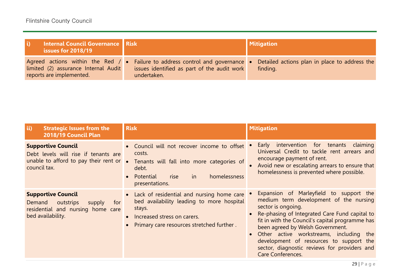| Internal Council Governance Risk<br>issues for 2018/19                                                        |                                                                                                         | <b>Mitigation</b>                                         |
|---------------------------------------------------------------------------------------------------------------|---------------------------------------------------------------------------------------------------------|-----------------------------------------------------------|
| Agreed actions within the Red $/ \bullet$<br>limited (2) assurance Internal Audit<br>reports are implemented. | Failure to address control and governance<br>issues identified as part of the audit work<br>undertaken. | Detailed actions plan in place to address the<br>finding. |

| $\mathbf{ii}$<br><b>Strategic Issues from the</b><br>2018/19 Council Plan                                                            | <b>Risk</b>                                                                                                                                                                                              | <b>Mitigation</b>                                                                                                                                                                                                                                                                                                                                                                                                   |
|--------------------------------------------------------------------------------------------------------------------------------------|----------------------------------------------------------------------------------------------------------------------------------------------------------------------------------------------------------|---------------------------------------------------------------------------------------------------------------------------------------------------------------------------------------------------------------------------------------------------------------------------------------------------------------------------------------------------------------------------------------------------------------------|
| <b>Supportive Council</b><br>Debt levels will rise if tenants are<br>unable to afford to pay their rent or $\bullet$<br>council tax. | • Council will not recover income to offset<br>costs.<br>Tenants will fall into more categories of<br>debt.<br>homelessness<br>in<br>Potential<br>rise<br>$\bullet$<br>presentations.                    | intervention for tenants<br>claiming<br>Early<br>Universal Credit to tackle rent arrears and<br>encourage payment of rent.<br>Avoid new or escalating arrears to ensure that<br>homelessness is prevented where possible.                                                                                                                                                                                           |
| <b>Supportive Council</b><br>outstrips<br>Demand<br>supply<br>for<br>residential and nursing home care<br>bed availability.          | • Lack of residential and nursing home care<br>bed availability leading to more hospital<br>stays.<br>Increased stress on carers.<br>$\bullet$<br>Primary care resources stretched further.<br>$\bullet$ | Expansion of Marleyfield to support the<br>medium term development of the nursing<br>sector is ongoing.<br>Re-phasing of Integrated Care Fund capital to<br>fit in with the Council's capital programme has<br>been agreed by Welsh Government.<br>• Other active workstreams, including the<br>development of resources to support the<br>sector, diagnostic reviews for providers and<br><b>Care Conferences.</b> |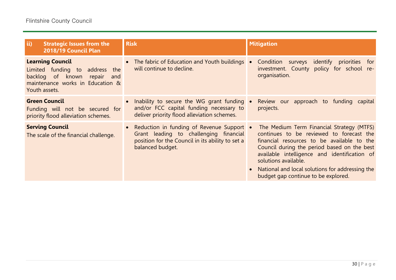| $\mathbf{ii}$<br><b>Strategic Issues from the</b><br>2018/19 Council Plan                                                                           | <b>Risk</b>                                                                                                                                                   | <b>Mitigation</b>                                                                                                                                                                                                                                                                                                                                    |
|-----------------------------------------------------------------------------------------------------------------------------------------------------|---------------------------------------------------------------------------------------------------------------------------------------------------------------|------------------------------------------------------------------------------------------------------------------------------------------------------------------------------------------------------------------------------------------------------------------------------------------------------------------------------------------------------|
| <b>Learning Council</b><br>Limited funding to address the<br>backlog of known<br>repair<br>and<br>maintenance works in Education &<br>Youth assets. | • The fabric of Education and Youth buildings $\bullet$<br>will continue to decline.                                                                          | Condition<br>identify priorities<br>surveys<br>for<br>investment. County policy for school re-<br>organisation.                                                                                                                                                                                                                                      |
| <b>Green Council</b><br>Funding will not be secured for<br>priority flood alleviation schemes.                                                      | Inability to secure the WG grant funding •<br>and/or FCC capital funding necessary to<br>deliver priority flood alleviation schemes.                          | Review our approach to funding capital<br>projects.                                                                                                                                                                                                                                                                                                  |
| <b>Serving Council</b><br>The scale of the financial challenge.                                                                                     | • Reduction in funding of Revenue Support •<br>Grant leading to challenging financial<br>position for the Council in its ability to set a<br>balanced budget. | The Medium Term Financial Strategy (MTFS)<br>continues to be reviewed to forecast the<br>financial resources to be available to the<br>Council during the period based on the best<br>available intelligence and identification of<br>solutions available.<br>National and local solutions for addressing the<br>budget gap continue to be explored. |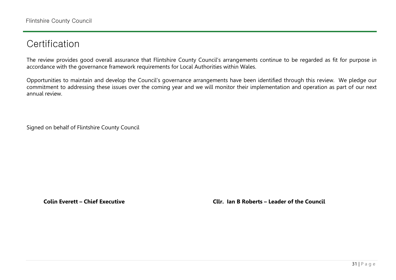## **Certification**

The review provides good overall assurance that Flintshire County Council's arrangements continue to be regarded as fit for purpose in accordance with the governance framework requirements for Local Authorities within Wales.

Opportunities to maintain and develop the Council's governance arrangements have been identified through this review. We pledge our commitment to addressing these issues over the coming year and we will monitor their implementation and operation as part of our next annual review.

Signed on behalf of Flintshire County Council

**Colin Everett – Chief Executive Cllr. Ian B Roberts – Leader of the Council**